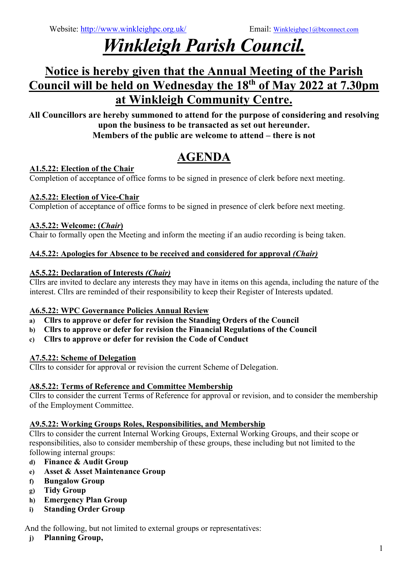# *Winkleigh Parish Council.*

# **Notice is hereby given that the Annual Meeting of the Parish Council will be held on Wednesday the 18th of May 2022 at 7.30pm at Winkleigh Community Centre.**

**All Councillors are hereby summoned to attend for the purpose of considering and resolving upon the business to be transacted as set out hereunder. Members of the public are welcome to attend – there is not**

# **AGENDA**

# **A1.5.22: Election of the Chair**

Completion of acceptance of office forms to be signed in presence of clerk before next meeting.

### **A2.5.22: Election of Vice-Chair**

Completion of acceptance of office forms to be signed in presence of clerk before next meeting.

### **A3.5.22: Welcome: (***Chair***)**

Chair to formally open the Meeting and inform the meeting if an audio recording is being taken.

### **A4.5.22: Apologies for Absence to be received and considered for approval** *(Chair)*

### **A5.5.22: Declaration of Interests** *(Chair)*

Cllrs are invited to declare any interests they may have in items on this agenda, including the nature of the interest. Cllrs are reminded of their responsibility to keep their Register of Interests updated.

# **A6.5.22: WPC Governance Policies Annual Review**

- **a) Cllrs to approve or defer for revision the Standing Orders of the Council**
- **b) Cllrs to approve or defer for revision the Financial Regulations of the Council**
- **c) Cllrs to approve or defer for revision the Code of Conduct**

# **A7.5.22: Scheme of Delegation**

Cllrs to consider for approval or revision the current Scheme of Delegation.

# **A8.5.22: Terms of Reference and Committee Membership**

Cllrs to consider the current Terms of Reference for approval or revision, and to consider the membership of the Employment Committee.

#### **A9.5.22: Working Groups Roles, Responsibilities, and Membership**

Cllrs to consider the current Internal Working Groups, External Working Groups, and their scope or responsibilities, also to consider membership of these groups, these including but not limited to the following internal groups:

- **d) Finance & Audit Group**
- **e) Asset & Asset Maintenance Group**
- **f) Bungalow Group**
- **g) Tidy Group**
- **h) Emergency Plan Group**
- **i) Standing Order Group**

And the following, but not limited to external groups or representatives:

**j) Planning Group,**